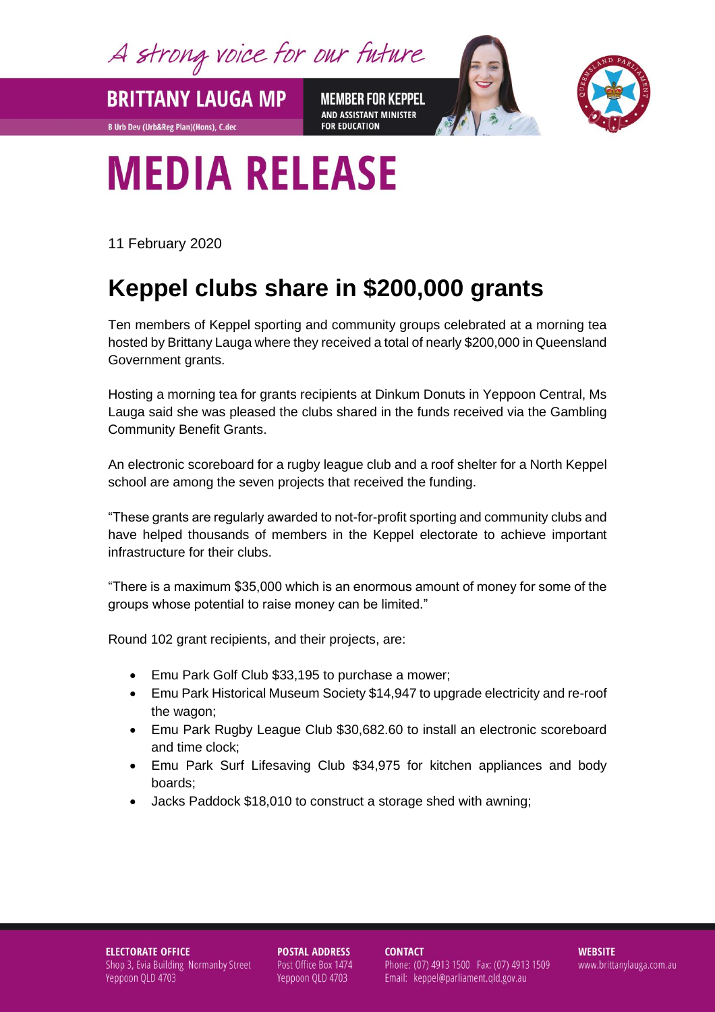A strong voice for our future

**MEMBER FOR KEPPEL** AND ASSISTANT MINISTER **FOR EDUCATION** 



## **MEDIA RELEASE**

11 February 2020

**BRITTANY LAUGA MP** 

**B Urb Dev (Urb&Reg Plan)(Hons), C.dec** 

## **Keppel clubs share in \$200,000 grants**

Ten members of Keppel sporting and community groups celebrated at a morning tea hosted by Brittany Lauga where they received a total of nearly \$200,000 in Queensland Government grants.

Hosting a morning tea for grants recipients at Dinkum Donuts in Yeppoon Central, Ms Lauga said she was pleased the clubs shared in the funds received via the Gambling Community Benefit Grants.

An electronic scoreboard for a rugby league club and a roof shelter for a North Keppel school are among the seven projects that received the funding.

"These grants are regularly awarded to not-for-profit sporting and community clubs and have helped thousands of members in the Keppel electorate to achieve important infrastructure for their clubs.

"There is a maximum \$35,000 which is an enormous amount of money for some of the groups whose potential to raise money can be limited."

Round 102 grant recipients, and their projects, are:

- Emu Park Golf Club \$33,195 to purchase a mower;
- Emu Park Historical Museum Society \$14,947 to upgrade electricity and re-roof the wagon;
- Emu Park Rugby League Club \$30,682.60 to install an electronic scoreboard and time clock;
- Emu Park Surf Lifesaving Club \$34,975 for kitchen appliances and body boards;
- Jacks Paddock \$18,010 to construct a storage shed with awning;

**ELECTORATE OFFICE** Shop 3, Evia Building Normanby Street Yeppoon QLD 4703

**POSTAL ADDRESS** Post Office Box 1474 Yeppoon QLD 4703

**CONTACT** Phone: (07) 4913 1500 Fax: (07) 4913 1509 Email: keppel@parliament.qld.gov.au

**WEBSITE** www.brittanylauga.com.au